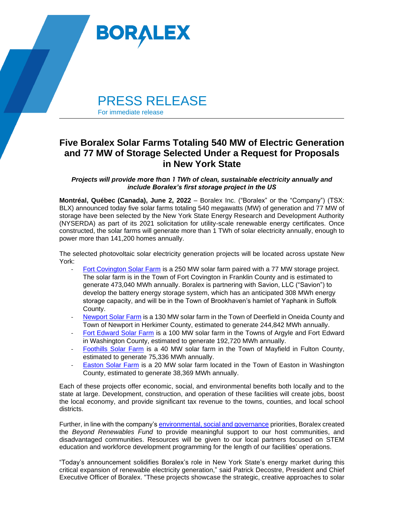

## **Five Boralex Solar Farms Totaling 540 MW of Electric Generation and 77 MW of Storage Selected Under a Request for Proposals in New York State**

*Projects will provide more than 1 TWh of clean, sustainable electricity annually and include Boralex's first storage project in the US*

**Montréal, Québec (Canada), June 2, 2022** – Boralex Inc. ("Boralex" or the "Company") (TSX: BLX) announced today five solar farms totaling 540 megawatts (MW) of generation and 77 MW of storage have been selected by the New York State Energy Research and Development Authority (NYSERDA) as part of its 2021 solicitation for utility-scale renewable energy certificates. Once constructed, the solar farms will generate more than 1 TWh of solar electricity annually, enough to power more than 141,200 homes annually.

The selected photovoltaic solar electricity generation projects will be located across upstate New York:

- [Fort Covington Solar Farm](https://www.boralex.com/projects/fort-covington/) is a 250 MW solar farm paired with a 77 MW storage project. The solar farm is in the Town of Fort Covington in Franklin County and is estimated to generate 473,040 MWh annually. Boralex is partnering with Savion, LLC ("Savion") to develop the battery energy storage system, which has an anticipated 308 MWh energy storage capacity, and will be in the Town of Brookhaven's hamlet of Yaphank in Suffolk County.
- [Newport Solar Farm](https://www.boralex.com/projects/newport-solar/) is a 130 MW solar farm in the Town of Deerfield in Oneida County and Town of Newport in Herkimer County, estimated to generate 244,842 MWh annually.
- [Fort Edward Solar Farm](https://can01.safelinks.protection.outlook.com/?url=https%3A%2F%2Fwww.boralex.com%2Fprojects%2Ffort-edward%2F&data=04%7C01%7Cmelissa.mansfield%40boralex.com%7C0877c3a857c946ee68a508d9a92f5297%7C3b65fa046ed74bfea5c80523fd14d634%7C0%7C0%7C637726842976354362%7CUnknown%7CTWFpbGZsb3d8eyJWIjoiMC4wLjAwMDAiLCJQIjoiV2luMzIiLCJBTiI6Ik1haWwiLCJXVCI6Mn0%3D%7C3000&sdata=Ew9i3Y0EEz%2FMT1CUlNmBg8zNYerzQtUoNR8i0mu6Emk%3D&reserved=0) is a 100 MW solar farm in the Towns of Argyle and Fort Edward in Washington County, estimated to generate 192,720 MWh annually.
- [Foothills Solar Farm](https://www.boralex.com/projects/foothills/) is a 40 MW solar farm in the Town of Mayfield in Fulton County, estimated to generate 75,336 MWh annually.
- [Easton Solar Farm](https://can01.safelinks.protection.outlook.com/?url=https%3A%2F%2Fwww.boralex.com%2Fprojects%2Feaston&data=04%7C01%7Cmelissa.mansfield%40boralex.com%7C0877c3a857c946ee68a508d9a92f5297%7C3b65fa046ed74bfea5c80523fd14d634%7C0%7C0%7C637726842976344372%7CUnknown%7CTWFpbGZsb3d8eyJWIjoiMC4wLjAwMDAiLCJQIjoiV2luMzIiLCJBTiI6Ik1haWwiLCJXVCI6Mn0%3D%7C3000&sdata=bUl9FTSN07IFpXoIXyIE4iLRr3ObMKeeVkKRwG62L0o%3D&reserved=0) is a 20 MW solar farm located in the Town of Easton in Washington County, estimated to generate 38,369 MWh annually.

Each of these projects offer economic, social, and environmental benefits both locally and to the state at large. Development, construction, and operation of these facilities will create jobs, boost the local economy, and provide significant tax revenue to the towns, counties, and local school districts.

Further, in line with the company's [environmental, social and governance](https://boralex-global.imgix.net/RSE_Boralex_2020_EN.pdf) priorities, Boralex created the *Beyond Renewables Fund* to provide meaningful support to our host communities, and disadvantaged communities. Resources will be given to our local partners focused on STEM education and workforce development programming for the length of our facilities' operations.

"Today's announcement solidifies Boralex's role in New York State's energy market during this critical expansion of renewable electricity generation," said Patrick Decostre, President and Chief Executive Officer of Boralex. "These projects showcase the strategic, creative approaches to solar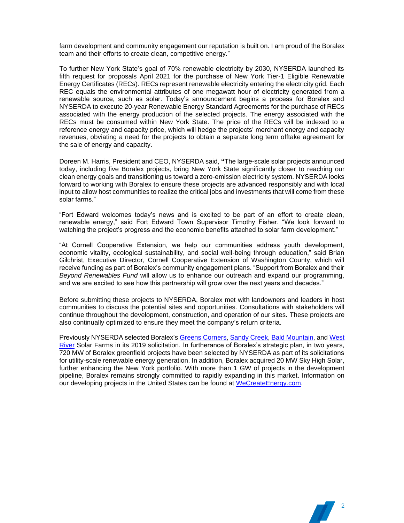farm development and community engagement our reputation is built on. I am proud of the Boralex team and their efforts to create clean, competitive energy."

To further New York State's goal of 70% renewable electricity by 2030, NYSERDA launched its fifth request for proposals April 2021 for the purchase of New York Tier-1 Eligible Renewable Energy Certificates (RECs). RECs represent renewable electricity entering the electricity grid. Each REC equals the environmental attributes of one megawatt hour of electricity generated from a renewable source, such as solar. Today's announcement begins a process for Boralex and NYSERDA to execute 20-year Renewable Energy Standard Agreements for the purchase of RECs associated with the energy production of the selected projects. The energy associated with the RECs must be consumed within New York State. The price of the RECs will be indexed to a reference energy and capacity price, which will hedge the projects' merchant energy and capacity revenues, obviating a need for the projects to obtain a separate long term offtake agreement for the sale of energy and capacity.

Doreen M. Harris, President and CEO, NYSERDA said, **"**The large-scale solar projects announced today, including five Boralex projects, bring New York State significantly closer to reaching our clean energy goals and transitioning us toward a zero-emission electricity system. NYSERDA looks forward to working with Boralex to ensure these projects are advanced responsibly and with local input to allow host communities to realize the critical jobs and investments that will come from these solar farms."

"Fort Edward welcomes today's news and is excited to be part of an effort to create clean, renewable energy," said Fort Edward Town Supervisor Timothy Fisher. "We look forward to watching the project's progress and the economic benefits attached to solar farm development."

"At Cornell Cooperative Extension, we help our communities address youth development, economic vitality, ecological sustainability, and social well-being through education," said Brian Gilchrist, Executive Director, Cornell Cooperative Extension of Washington County, which will receive funding as part of Boralex's community engagement plans. "Support from Boralex and their *Beyond Renewables Fund* will allow us to enhance our outreach and expand our programming, and we are excited to see how this partnership will grow over the next years and decades."

Before submitting these projects to NYSERDA, Boralex met with landowners and leaders in host communities to discuss the potential sites and opportunities. Consultations with stakeholders will continue throughout the development, construction, and operation of our sites. These projects are also continually optimized to ensure they meet the company's return criteria.

Previously NYSERDA selected Boralex's [Greens Corners,](http://www.boralex.com/projects/greens-corners) [Sandy Creek,](https://www.boralex.com/projects/sandy-creek/) [Bald Mountain,](https://www.boralex.com/projects/bald-mountain/) and [West](https://www.boralex.com/projects/west-river/)  [River](https://www.boralex.com/projects/west-river/) Solar Farms in its 2019 solicitation. In furtherance of Boralex's strategic plan, in two years, 720 MW of Boralex greenfield projects have been selected by NYSERDA as part of its solicitations for utility-scale renewable energy generation. In addition, Boralex acquired 20 MW Sky High Solar, further enhancing the New York portfolio. With more than 1 GW of projects in the development pipeline, Boralex remains strongly committed to rapidly expanding in this market. Information on our developing projects in the United States can be found at [WeCreateEnergy.com.](http://www.wecreateenergy.com/)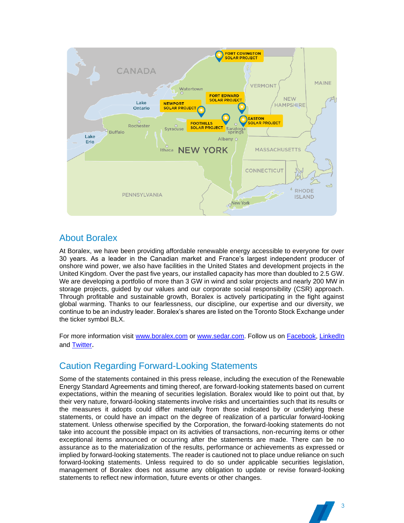

### About Boralex

At Boralex, we have been providing affordable renewable energy accessible to everyone for over 30 years. As a leader in the Canadian market and France's largest independent producer of onshore wind power, we also have facilities in the United States and development projects in the United Kingdom. Over the past five years, our installed capacity has more than doubled to 2.5 GW. We are developing a portfolio of more than 3 GW in wind and solar projects and nearly 200 MW in storage projects, guided by our values and our corporate social responsibility (CSR) approach. Through profitable and sustainable growth, Boralex is actively participating in the fight against global warming. Thanks to our fearlessness, our discipline, our expertise and our diversity, we continue to be an industry leader. Boralex's shares are listed on the Toronto Stock Exchange under the ticker symbol BLX.

For more information visit [www.boralex.com](http://www.boralex.com/) or [www.sedar.com.](http://www.sedar.com/) Follow us on [Facebook,](https://www.facebook.com/BoralexInc) [LinkedIn](https://www.linkedin.com/company/boralex) and [Twitter](http://www.twitter.com/BoralexUS).

# Caution Regarding Forward-Looking Statements

Some of the statements contained in this press release, including the execution of the Renewable Energy Standard Agreements and timing thereof, are forward-looking statements based on current expectations, within the meaning of securities legislation. Boralex would like to point out that, by their very nature, forward-looking statements involve risks and uncertainties such that its results or the measures it adopts could differ materially from those indicated by or underlying these statements, or could have an impact on the degree of realization of a particular forward-looking statement. Unless otherwise specified by the Corporation, the forward-looking statements do not take into account the possible impact on its activities of transactions, non-recurring items or other exceptional items announced or occurring after the statements are made. There can be no assurance as to the materialization of the results, performance or achievements as expressed or implied by forward-looking statements. The reader is cautioned not to place undue reliance on such forward-looking statements. Unless required to do so under applicable securities legislation, management of Boralex does not assume any obligation to update or revise forward-looking statements to reflect new information, future events or other changes.